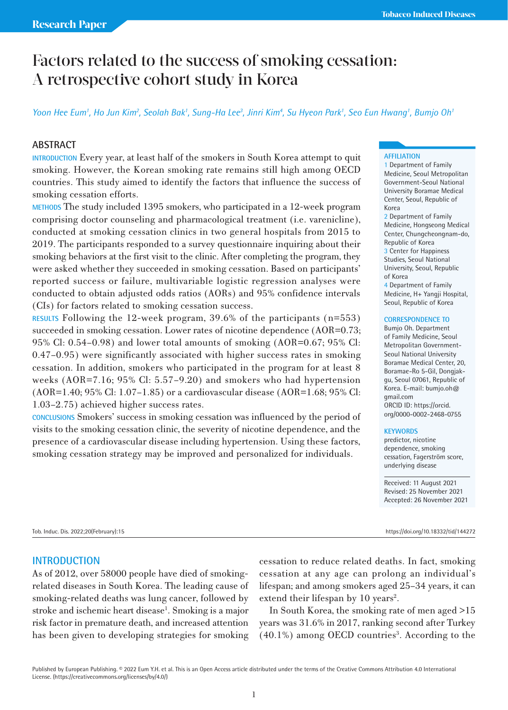# Factors related to the success of smoking cessation: A retrospective cohort study in Korea

*Yoon Hee Eum1 , Ho Jun Kim2 , Seolah Bak1 , Sung-Ha Lee3 , Jinri Kim4 , Su Hyeon Park1 , Seo Eun Hwang1 , Bumjo Oh1*

# **ABSTRACT**

**INTRODUCTION** Every year, at least half of the smokers in South Korea attempt to quit smoking. However, the Korean smoking rate remains still high among OECD countries. This study aimed to identify the factors that influence the success of smoking cessation efforts.

**METHODS** The study included 1395 smokers, who participated in a 12-week program comprising doctor counseling and pharmacological treatment (i.e. varenicline), conducted at smoking cessation clinics in two general hospitals from 2015 to 2019. The participants responded to a survey questionnaire inquiring about their smoking behaviors at the first visit to the clinic. After completing the program, they were asked whether they succeeded in smoking cessation. Based on participants' reported success or failure, multivariable logistic regression analyses were conducted to obtain adjusted odds ratios (AORs) and 95% confidence intervals (CIs) for factors related to smoking cessation success.

**RESULTS** Following the 12-week program, 39.6% of the participants (n=553) succeeded in smoking cessation. Lower rates of nicotine dependence (AOR=0.73; 95% Cl: 0.54–0.98) and lower total amounts of smoking (AOR=0.67; 95% Cl: 0.47–0.95) were significantly associated with higher success rates in smoking cessation. In addition, smokers who participated in the program for at least 8 weeks (AOR=7.16; 95% Cl: 5.57–9.20) and smokers who had hypertension (AOR=1.40; 95% Cl: 1.07–1.85) or a cardiovascular disease (AOR=1.68; 95% Cl: 1.03–2.75) achieved higher success rates.

**CONCLUSIONS** Smokers' success in smoking cessation was influenced by the period of visits to the smoking cessation clinic, the severity of nicotine dependence, and the presence of a cardiovascular disease including hypertension. Using these factors, smoking cessation strategy may be improved and personalized for individuals.

### **AFFILIATION**

1 Department of Family Medicine, Seoul Metropolitan Government-Seoul National University Boramae Medical Center, Seoul, Republic of Korea 2 Department of Family Medicine, Hongseong Medical Center, Chungcheongnam-do, Republic of Korea 3 Center for Happiness Studies, Seoul National University, Seoul, Republic of Korea 4 Department of Family Medicine, H+ Yangji Hospital, Seoul, Republic of Korea

### **CORRESPONDENCE TO**

Bumjo Oh. Department of Family Medicine, Seoul Metropolitan Government-Seoul National University Boramae Medical Center, 20, Boramae-Ro 5-Gil, Dongjakgu, Seoul 07061, Republic of Korea. E-mail: bumjo.oh@ gmail.com ORCID ID: https://orcid. org/0000-0002-2468-0755

### **KEYWORDS**

predictor, nicotine dependence, smoking cessation, Fagerström score, underlying disease

Received: 11 August 2021 Revised: 25 November 2021 Accepted: 26 November 2021

Tob. Induc. Dis. 2022;20(February):15 https://doi.org/10.18332/tid/144272

# **INTRODUCTION**

As of 2012, over 58000 people have died of smokingrelated diseases in South Korea. The leading cause of smoking-related deaths was lung cancer, followed by stroke and ischemic heart disease<sup>1</sup>. Smoking is a major risk factor in premature death, and increased attention has been given to developing strategies for smoking

cessation to reduce related deaths. In fact, smoking cessation at any age can prolong an individual's lifespan; and among smokers aged 25–34 years, it can extend their lifespan by 10 years<sup>2</sup>.

In South Korea, the smoking rate of men aged >15 years was 31.6% in 2017, ranking second after Turkey (40.1%) among OECD countries<sup>3</sup>. According to the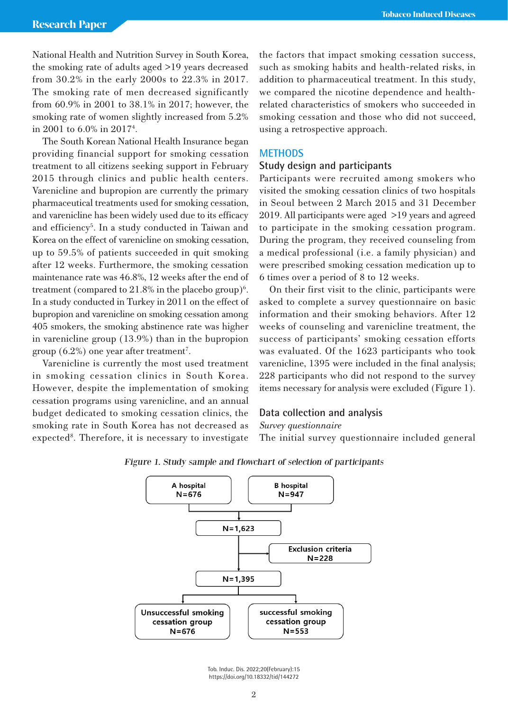National Health and Nutrition Survey in South Korea, the smoking rate of adults aged >19 years decreased from 30.2% in the early 2000s to 22.3% in 2017. The smoking rate of men decreased significantly from 60.9% in 2001 to 38.1% in 2017; however, the smoking rate of women slightly increased from 5.2% in 2001 to 6.0% in 20174 .

The South Korean National Health Insurance began providing financial support for smoking cessation treatment to all citizens seeking support in February 2015 through clinics and public health centers. Varenicline and bupropion are currently the primary pharmaceutical treatments used for smoking cessation, and varenicline has been widely used due to its efficacy and efficiency<sup>5</sup>. In a study conducted in Taiwan and Korea on the effect of varenicline on smoking cessation, up to 59.5% of patients succeeded in quit smoking after 12 weeks. Furthermore, the smoking cessation maintenance rate was 46.8%, 12 weeks after the end of treatment (compared to  $21.8\%$  in the placebo group)<sup>6</sup>. In a study conducted in Turkey in 2011 on the effect of bupropion and varenicline on smoking cessation among 405 smokers, the smoking abstinence rate was higher in varenicline group (13.9%) than in the bupropion group  $(6.2\%)$  one year after treatment<sup>7</sup>.

Varenicline is currently the most used treatment in smoking cessation clinics in South Korea. However, despite the implementation of smoking cessation programs using varenicline, and an annual budget dedicated to smoking cessation clinics, the smoking rate in South Korea has not decreased as expected<sup>8</sup>. Therefore, it is necessary to investigate the factors that impact smoking cessation success, such as smoking habits and health-related risks, in addition to pharmaceutical treatment. In this study, we compared the nicotine dependence and healthrelated characteristics of smokers who succeeded in smoking cessation and those who did not succeed, using a retrospective approach.

### **METHODS**

# **Study design and participants**

Participants were recruited among smokers who visited the smoking cessation clinics of two hospitals in Seoul between 2 March 2015 and 31 December 2019. All participants were aged >19 years and agreed to participate in the smoking cessation program. During the program, they received counseling from a medical professional (i.e. a family physician) and were prescribed smoking cessation medication up to 6 times over a period of 8 to 12 weeks.

On their first visit to the clinic, participants were asked to complete a survey questionnaire on basic information and their smoking behaviors. After 12 weeks of counseling and varenicline treatment, the success of participants' smoking cessation efforts was evaluated. Of the 1623 participants who took varenicline, 1395 were included in the final analysis; 228 participants who did not respond to the survey items necessary for analysis were excluded (Figure 1).

# **Data collection and analysis**

*Survey questionnaire*

The initial survey questionnaire included general



# Figure 1. Study sample and flowchart of selection of participants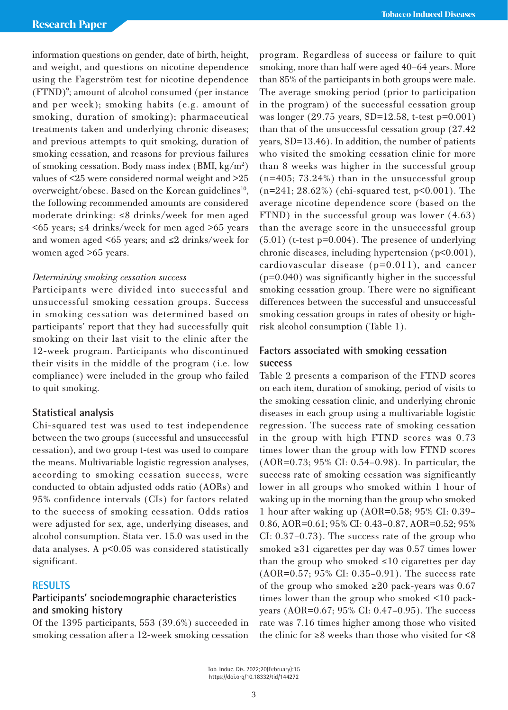information questions on gender, date of birth, height, and weight, and questions on nicotine dependence using the Fagerström test for nicotine dependence (FTND)<sup>9</sup>; amount of alcohol consumed (per instance and per week); smoking habits (e.g. amount of smoking, duration of smoking); pharmaceutical treatments taken and underlying chronic diseases; and previous attempts to quit smoking, duration of smoking cessation, and reasons for previous failures of smoking cessation. Body mass index (BMI, kg/m<sup>2</sup>) values of <25 were considered normal weight and >25 overweight/obese. Based on the Korean guidelines<sup>10</sup>, the following recommended amounts are considered moderate drinking: ≤8 drinks/week for men aged  $\leq$  45 years;  $\leq$  44 drinks/week for men aged  $\geq$  65 years and women aged <65 years; and  $\leq 2$  drinks/week for women aged >65 years.

# *Determining smoking cessation success*

Participants were divided into successful and unsuccessful smoking cessation groups. Success in smoking cessation was determined based on participants' report that they had successfully quit smoking on their last visit to the clinic after the 12-week program. Participants who discontinued their visits in the middle of the program (i.e. low compliance) were included in the group who failed to quit smoking.

### **Statistical analysis**

Chi-squared test was used to test independence between the two groups (successful and unsuccessful cessation), and two group t-test was used to compare the means. Multivariable logistic regression analyses, according to smoking cessation success, were conducted to obtain adjusted odds ratio (AORs) and 95% confidence intervals (CIs) for factors related to the success of smoking cessation. Odds ratios were adjusted for sex, age, underlying diseases, and alcohol consumption. Stata ver. 15.0 was used in the data analyses. A p<0.05 was considered statistically significant.

# **RESULTS**

# **Participants' sociodemographic characteristics and smoking history**

Of the 1395 participants, 553 (39.6%) succeeded in smoking cessation after a 12-week smoking cessation program. Regardless of success or failure to quit smoking, more than half were aged 40–64 years. More than 85% of the participants in both groups were male. The average smoking period (prior to participation in the program) of the successful cessation group was longer (29.75 years, SD=12.58, t-test p=0.001) than that of the unsuccessful cessation group (27.42 years, SD=13.46). In addition, the number of patients who visited the smoking cessation clinic for more than 8 weeks was higher in the successful group (n=405; 73.24%) than in the unsuccessful group  $(n=241; 28.62%)$  (chi-squared test,  $p<0.001$ ). The average nicotine dependence score (based on the FTND) in the successful group was lower (4.63) than the average score in the unsuccessful group (5.01) (t-test p=0.004). The presence of underlying chronic diseases, including hypertension (p<0.001), cardiovascular disease (p=0.011), and cancer (p=0.040) was significantly higher in the successful smoking cessation group. There were no significant differences between the successful and unsuccessful smoking cessation groups in rates of obesity or highrisk alcohol consumption (Table 1).

# **Factors associated with smoking cessation success**

Table 2 presents a comparison of the FTND scores on each item, duration of smoking, period of visits to the smoking cessation clinic, and underlying chronic diseases in each group using a multivariable logistic regression. The success rate of smoking cessation in the group with high FTND scores was 0.73 times lower than the group with low FTND scores (AOR=0.73; 95% CI: 0.54–0.98). In particular, the success rate of smoking cessation was significantly lower in all groups who smoked within 1 hour of waking up in the morning than the group who smoked 1 hour after waking up (AOR=0.58; 95% CI: 0.39– 0.86, AOR=0.61; 95% CI: 0.43–0.87, AOR=0.52; 95% CI: 0.37–0.73). The success rate of the group who smoked ≥31 cigarettes per day was 0.57 times lower than the group who smoked  $\leq 10$  cigarettes per day (AOR=0.57; 95% CI: 0.35–0.91). The success rate of the group who smoked  $\geq 20$  pack-years was 0.67 times lower than the group who smoked <10 packyears (AOR=0.67; 95% CI: 0.47–0.95). The success rate was 7.16 times higher among those who visited the clinic for  $\geq 8$  weeks than those who visited for  $\leq 8$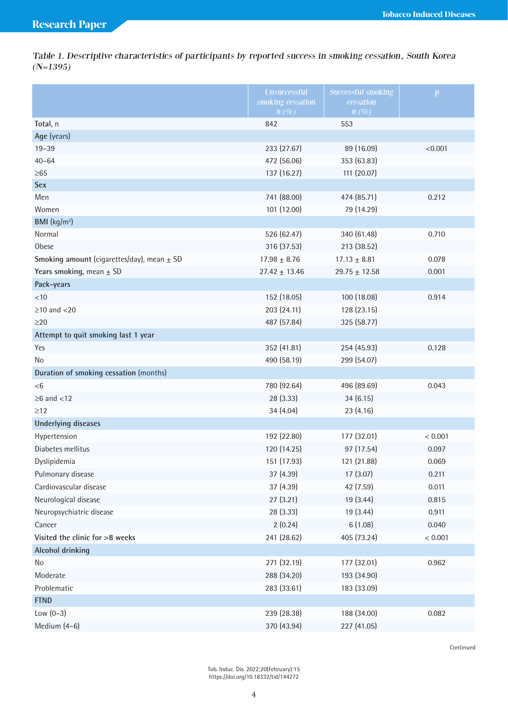Table 1. Descriptive characteristics of participants by reported success in smoking cessation, South Korea  $(N=1395)$ 

|                                                | <b>Unsuccessful</b><br>smoking cessation | <b>Successful smoking</b><br>cessation | $\boldsymbol{p}$ |
|------------------------------------------------|------------------------------------------|----------------------------------------|------------------|
|                                                | $n(\%)$                                  | $n(\%)$                                |                  |
| Total, n                                       | 842                                      | 553                                    |                  |
| Age (years)                                    |                                          |                                        |                  |
| $19 - 39$                                      | 233 (27.67)                              | 89 (16.09)                             | < 0.001          |
| $40 - 64$                                      | 472 (56.06)                              | 353 (63.83)                            |                  |
| $\geq 65$                                      | 137 (16.27)                              | 111 (20.07)                            |                  |
| <b>Sex</b>                                     |                                          |                                        |                  |
| Men                                            | 741 (88.00)                              | 474 (85.71)                            | 0.212            |
| Women                                          | 101 (12.00)                              | 79 (14.29)                             |                  |
| BMI (kg/m <sup>2</sup> )                       |                                          |                                        |                  |
| Normal                                         | 526 (62.47)                              | 340 (61.48)                            | 0.710            |
| Obese                                          | 316 (37.53)                              | 213 (38.52)                            |                  |
| Smoking amount (cigarettes/day), mean $\pm$ SD | $17.98 \pm 8.76$                         | $17.13 \pm 8.81$                       | 0.078            |
| Years smoking, mean $\pm$ SD                   | $27.42 \pm 13.46$                        | $29.75 \pm 12.58$                      | 0.001            |
| Pack-years                                     |                                          |                                        |                  |
| $<10$                                          | 152 (18.05)                              | 100 (18.08)                            | 0.914            |
| $\geq$ 10 and <20                              | 203 (24.11)                              | 128 (23.15)                            |                  |
| $\geq$ 20                                      | 487 (57.84)                              | 325 (58.77)                            |                  |
| Attempt to quit smoking last 1 year            |                                          |                                        |                  |
| Yes                                            | 352 (41.81)                              | 254 (45.93)                            | 0.128            |
| No                                             | 490 (58.19)                              | 299 (54.07)                            |                  |
| Duration of smoking cessation (months)         |                                          |                                        |                  |
| < 6                                            | 780 (92.64)                              | 496 (89.69)                            | 0.043            |
| $\geq$ 6 and <12                               | 28 (3.33)                                | 34(6.15)                               |                  |
| $\geq$ 12                                      | 34 (4.04)                                | 23 (4.16)                              |                  |
| <b>Underlying diseases</b>                     |                                          |                                        |                  |
| Hypertension                                   | 192 (22.80)                              | 177 (32.01)                            | < 0.001          |
| Diabetes mellitus                              | 120 (14.25)                              | 97 (17.54)                             | 0.097            |
| Dyslipidemia                                   | 151 (17.93)                              | 121 (21.88)                            | 0.069            |
| Pulmonary disease                              | 37 (4.39)                                | 17(3.07)                               | 0.211            |
| Cardiovascular disease                         | 37 (4.39)                                | 42 (7.59)                              | 0.011            |
| Neurological disease                           | 27 (3.21)                                | 19 (3.44)                              | 0.815            |
| Neuropsychiatric disease                       | 28 (3.33)                                | 19 (3.44)                              | 0.911            |
| Cancer                                         | 2(0.24)                                  | 6(1.08)                                | 0.040            |
| Visited the clinic for >8 weeks                | 241 (28.62)                              | 405 (73.24)                            | < 0.001          |
| <b>Alcohol drinking</b>                        |                                          |                                        |                  |
| No                                             | 271 (32.19)                              | 177 (32.01)                            | 0.962            |
| Moderate                                       | 288 (34.20)                              | 193 (34.90)                            |                  |
| Problematic                                    | 283 (33.61)                              | 183 (33.09)                            |                  |
| <b>FTND</b>                                    |                                          |                                        |                  |
| Low $(0-3)$                                    | 239 (28.38)                              | 188 (34.00)                            | 0.082            |
| Medium (4-6)                                   | 370 (43.94)                              | 227 (41.05)                            |                  |

Continued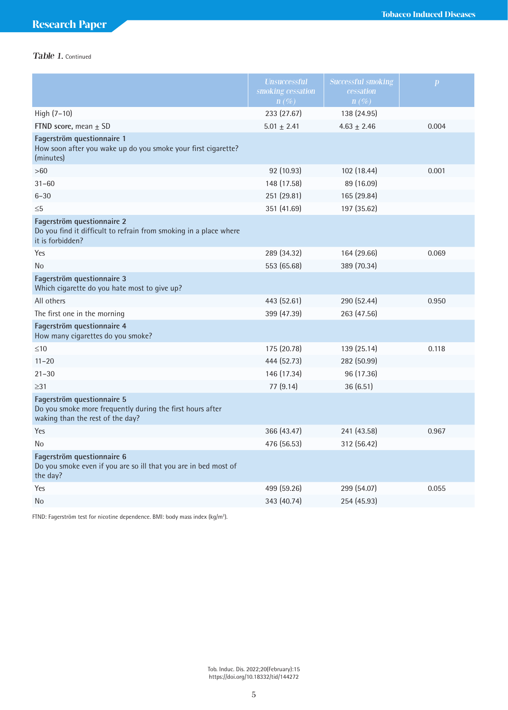# Table 1. Continued

|                                                                                                                             | <b>Unsuccessful</b><br>smoking cessation<br>$n(\%)$ | <b>Successful smoking</b><br>cessation<br>$n(\%)$ | $\boldsymbol{p}$ |
|-----------------------------------------------------------------------------------------------------------------------------|-----------------------------------------------------|---------------------------------------------------|------------------|
| High (7-10)                                                                                                                 | 233 (27.67)                                         | 138 (24.95)                                       |                  |
| FTND score, mean $\pm$ SD                                                                                                   | $5.01 \pm 2.41$                                     | $4.63 \pm 2.46$                                   | 0.004            |
| Fagerström questionnaire 1<br>How soon after you wake up do you smoke your first cigarette?<br>(minutes)                    |                                                     |                                                   |                  |
| >60                                                                                                                         | 92 (10.93)                                          | 102 (18.44)                                       | 0.001            |
| $31 - 60$                                                                                                                   | 148 (17.58)                                         | 89 (16.09)                                        |                  |
| $6 - 30$                                                                                                                    | 251 (29.81)                                         | 165 (29.84)                                       |                  |
| $\leq 5$                                                                                                                    | 351 (41.69)                                         | 197 (35.62)                                       |                  |
| Fagerström questionnaire 2<br>Do you find it difficult to refrain from smoking in a place where<br>it is forbidden?         |                                                     |                                                   |                  |
| Yes                                                                                                                         | 289 (34.32)                                         | 164 (29.66)                                       | 0.069            |
| No                                                                                                                          | 553 (65.68)                                         | 389 (70.34)                                       |                  |
| Fagerström questionnaire 3<br>Which cigarette do you hate most to give up?                                                  |                                                     |                                                   |                  |
| All others                                                                                                                  | 443 (52.61)                                         | 290 (52.44)                                       | 0.950            |
| The first one in the morning                                                                                                | 399 (47.39)                                         | 263 (47.56)                                       |                  |
| Fagerström questionnaire 4<br>How many cigarettes do you smoke?                                                             |                                                     |                                                   |                  |
| $\leq 10$                                                                                                                   | 175 (20.78)                                         | 139 (25.14)                                       | 0.118            |
| $11 - 20$                                                                                                                   | 444 (52.73)                                         | 282 (50.99)                                       |                  |
| $21 - 30$                                                                                                                   | 146 (17.34)                                         | 96 (17.36)                                        |                  |
| $\geq$ 31                                                                                                                   | 77 (9.14)                                           | 36 (6.51)                                         |                  |
| Fagerström questionnaire 5<br>Do you smoke more frequently during the first hours after<br>waking than the rest of the day? |                                                     |                                                   |                  |
| Yes                                                                                                                         | 366 (43.47)                                         | 241 (43.58)                                       | 0.967            |
| No                                                                                                                          | 476 (56.53)                                         | 312 (56.42)                                       |                  |
| Fagerström questionnaire 6<br>Do you smoke even if you are so ill that you are in bed most of<br>the day?                   |                                                     |                                                   |                  |
| Yes                                                                                                                         | 499 (59.26)                                         | 299 (54.07)                                       | 0.055            |
| No                                                                                                                          | 343 (40.74)                                         | 254 (45.93)                                       |                  |

FTND: Fagerström test for nicotine dependence. BMI: body mass index (kg/m<sup>2</sup>).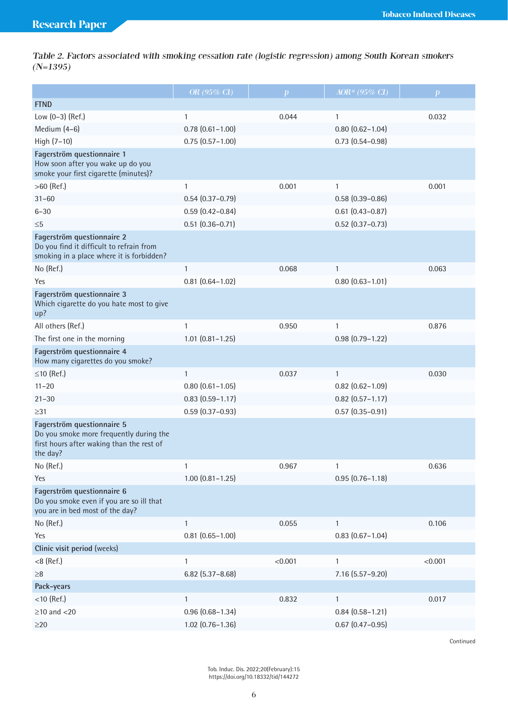Table 2. Factors associated with smoking cessation rate (logistic regression) among South Korean smokers (N=1395)

|                                                                                                                                | OR (95% CI)            | $\mathbf{p}$ | $AOR* (95\% \text{ CI})$ | $\mathbf{p}$ |
|--------------------------------------------------------------------------------------------------------------------------------|------------------------|--------------|--------------------------|--------------|
| <b>FTND</b>                                                                                                                    |                        |              |                          |              |
| Low (0-3) (Ref.)                                                                                                               | 1                      | 0.044        | 1                        | 0.032        |
| Medium (4-6)                                                                                                                   | $0.78$ $(0.61 - 1.00)$ |              | $0.80$ $(0.62 - 1.04)$   |              |
| High $(7-10)$                                                                                                                  | $0.75(0.57 - 1.00)$    |              | $0.73$ $(0.54 - 0.98)$   |              |
| Fagerström questionnaire 1<br>How soon after you wake up do you<br>smoke your first cigarette (minutes)?                       |                        |              |                          |              |
| $>60$ (Ref.)                                                                                                                   | 1                      | 0.001        | $\mathbf{1}$             | 0.001        |
| $31 - 60$                                                                                                                      | $0.54(0.37 - 0.79)$    |              | $0.58(0.39 - 0.86)$      |              |
| $6 - 30$                                                                                                                       | $0.59(0.42 - 0.84)$    |              | $0.61(0.43 - 0.87)$      |              |
| $\leq 5$                                                                                                                       | $0.51$ $(0.36 - 0.71)$ |              | $0.52$ (0.37-0.73)       |              |
| Fagerström questionnaire 2<br>Do you find it difficult to refrain from<br>smoking in a place where it is forbidden?            |                        |              |                          |              |
| No (Ref.)                                                                                                                      | $\mathbf{1}$           | 0.068        | $\mathbf{1}$             | 0.063        |
| Yes                                                                                                                            | $0.81$ $(0.64 - 1.02)$ |              | $0.80(0.63 - 1.01)$      |              |
| Fagerström questionnaire 3<br>Which cigarette do you hate most to give<br>up?                                                  |                        |              |                          |              |
| All others (Ref.)                                                                                                              | 1                      | 0.950        | 1                        | 0.876        |
| The first one in the morning                                                                                                   | $1.01$ $(0.81 - 1.25)$ |              | $0.98(0.79 - 1.22)$      |              |
| Fagerström questionnaire 4<br>How many cigarettes do you smoke?                                                                |                        |              |                          |              |
| $\leq$ 10 (Ref.)                                                                                                               | $\mathbf{1}$           | 0.037        | 1                        | 0.030        |
| $11 - 20$                                                                                                                      | $0.80$ $(0.61 - 1.05)$ |              | $0.82$ $(0.62 - 1.09)$   |              |
| $21 - 30$                                                                                                                      | $0.83$ $(0.59 - 1.17)$ |              | $0.82$ (0.57-1.17)       |              |
| $\geq$ 31                                                                                                                      | $0.59$ $(0.37 - 0.93)$ |              | $0.57$ $(0.35 - 0.91)$   |              |
| Fagerström questionnaire 5<br>Do you smoke more frequently during the<br>first hours after waking than the rest of<br>the day? |                        |              |                          |              |
| No (Ref.)                                                                                                                      | 1                      | 0.967        | 1                        | 0.636        |
| Yes                                                                                                                            | $1.00$ $(0.81 - 1.25)$ |              | $0.95(0.76 - 1.18)$      |              |
| Fagerström questionnaire 6<br>Do you smoke even if you are so ill that<br>you are in bed most of the day?                      |                        |              |                          |              |
| No (Ref.)                                                                                                                      | $\mathbf{1}$           | 0.055        | $\mathbf{1}$             | 0.106        |
| Yes                                                                                                                            | $0.81$ $(0.65 - 1.00)$ |              | $0.83$ $(0.67 - 1.04)$   |              |
| Clinic visit period (weeks)                                                                                                    |                        |              |                          |              |
| $<$ 8 (Ref.)                                                                                                                   | $\mathbf{1}$           | < 0.001      | 1                        | < 0.001      |
| ${\geq}8$                                                                                                                      | $6.82$ (5.37-8.68)     |              | 7.16 (5.57-9.20)         |              |
| Pack-years                                                                                                                     |                        |              |                          |              |
| $<$ 10 (Ref.)                                                                                                                  | $\mathbf{1}$           | 0.832        | $\mathbf{1}$             | 0.017        |
| $\geq$ 10 and <20                                                                                                              | $0.96(0.68 - 1.34)$    |              | $0.84(0.58 - 1.21)$      |              |
| $\geq$ 20                                                                                                                      | $1.02$ $(0.76 - 1.36)$ |              | $0.67$ $(0.47 - 0.95)$   |              |

Continued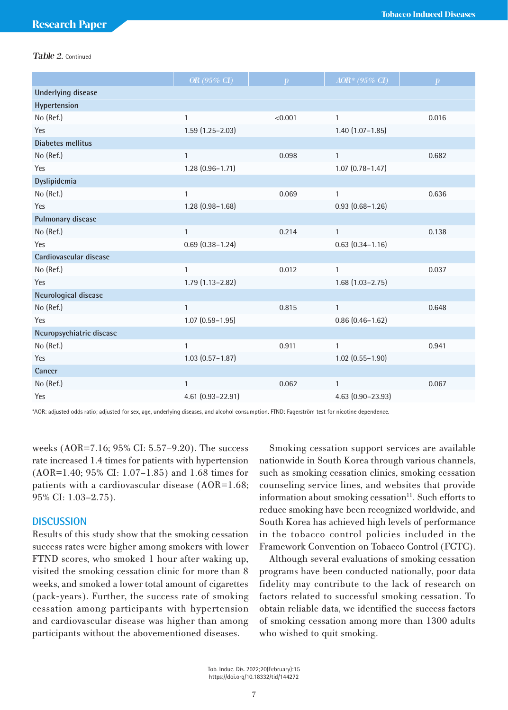### Table 2. Continued

|                           | OR (95% CI)            | $\boldsymbol{p}$ | AOR* (95% CI)          | $\boldsymbol{p}$ |
|---------------------------|------------------------|------------------|------------------------|------------------|
| <b>Underlying disease</b> |                        |                  |                        |                  |
| Hypertension              |                        |                  |                        |                  |
| No (Ref.)                 | $\mathbf{1}$           | < 0.001          | $\mathbf{1}$           | 0.016            |
| Yes                       | $1.59(1.25 - 2.03)$    |                  | $1.40(1.07 - 1.85)$    |                  |
| <b>Diabetes mellitus</b>  |                        |                  |                        |                  |
| No (Ref.)                 | $\mathbf{1}$           | 0.098            | $\mathbf{1}$           | 0.682            |
| Yes                       | $1.28(0.96 - 1.71)$    |                  | $1.07$ $(0.78 - 1.47)$ |                  |
| Dyslipidemia              |                        |                  |                        |                  |
| No (Ref.)                 | $\mathbf{1}$           | 0.069            | $\mathbf{1}$           | 0.636            |
| Yes                       | $1.28(0.98 - 1.68)$    |                  | $0.93(0.68 - 1.26)$    |                  |
| Pulmonary disease         |                        |                  |                        |                  |
| No (Ref.)                 | $\mathbf{1}$           | 0.214            | $\mathbf{1}$           | 0.138            |
| Yes                       | $0.69$ $(0.38 - 1.24)$ |                  | $0.63$ $(0.34 - 1.16)$ |                  |
| Cardiovascular disease    |                        |                  |                        |                  |
| No (Ref.)                 | $\mathbf{1}$           | 0.012            | $\mathbf{1}$           | 0.037            |
| Yes                       | $1.79(1.13 - 2.82)$    |                  | $1.68(1.03 - 2.75)$    |                  |
| Neurological disease      |                        |                  |                        |                  |
| No (Ref.)                 | $\mathbf{1}$           | 0.815            | $\mathbf{1}$           | 0.648            |
| Yes                       | $1.07$ $(0.59 - 1.95)$ |                  | $0.86(0.46 - 1.62)$    |                  |
| Neuropsychiatric disease  |                        |                  |                        |                  |
| No (Ref.)                 | $\mathbf{1}$           | 0.911            | $\mathbf{1}$           | 0.941            |
| Yes                       | $1.03$ $(0.57 - 1.87)$ |                  | $1.02$ $(0.55 - 1.90)$ |                  |
| Cancer                    |                        |                  |                        |                  |
| No (Ref.)                 | $\mathbf{1}$           | 0.062            | $\mathbf{1}$           | 0.067            |
| Yes                       | 4.61 (0.93-22.91)      |                  | 4.63 (0.90-23.93)      |                  |

\*AOR: adjusted odds ratio; adjusted for sex, age, underlying diseases, and alcohol consumption. FTND: Fagerström test for nicotine dependence.

weeks (AOR=7.16; 95% CI: 5.57–9.20). The success rate increased 1.4 times for patients with hypertension (AOR=1.40; 95% CI: 1.07–1.85) and 1.68 times for patients with a cardiovascular disease (AOR=1.68; 95% CI: 1.03–2.75).

### **DISCUSSION**

Results of this study show that the smoking cessation success rates were higher among smokers with lower FTND scores, who smoked 1 hour after waking up, visited the smoking cessation clinic for more than 8 weeks, and smoked a lower total amount of cigarettes (pack-years). Further, the success rate of smoking cessation among participants with hypertension and cardiovascular disease was higher than among participants without the abovementioned diseases.

Smoking cessation support services are available nationwide in South Korea through various channels, such as smoking cessation clinics, smoking cessation counseling service lines, and websites that provide information about smoking cessation<sup>11</sup>. Such efforts to reduce smoking have been recognized worldwide, and South Korea has achieved high levels of performance in the tobacco control policies included in the Framework Convention on Tobacco Control (FCTC).

Although several evaluations of smoking cessation programs have been conducted nationally, poor data fidelity may contribute to the lack of research on factors related to successful smoking cessation. To obtain reliable data, we identified the success factors of smoking cessation among more than 1300 adults who wished to quit smoking.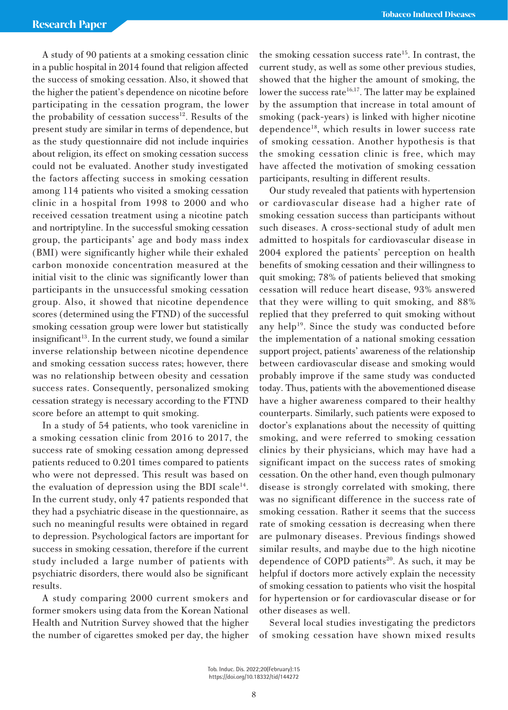A study of 90 patients at a smoking cessation clinic in a public hospital in 2014 found that religion affected the success of smoking cessation. Also, it showed that the higher the patient's dependence on nicotine before participating in the cessation program, the lower the probability of cessation success<sup>12</sup>. Results of the present study are similar in terms of dependence, but as the study questionnaire did not include inquiries about religion, its effect on smoking cessation success could not be evaluated. Another study investigated the factors affecting success in smoking cessation among 114 patients who visited a smoking cessation clinic in a hospital from 1998 to 2000 and who received cessation treatment using a nicotine patch and nortriptyline. In the successful smoking cessation group, the participants' age and body mass index (BMI) were significantly higher while their exhaled carbon monoxide concentration measured at the initial visit to the clinic was significantly lower than participants in the unsuccessful smoking cessation group. Also, it showed that nicotine dependence scores (determined using the FTND) of the successful smoking cessation group were lower but statistically insignificant<sup>13</sup>. In the current study, we found a similar inverse relationship between nicotine dependence and smoking cessation success rates; however, there was no relationship between obesity and cessation success rates. Consequently, personalized smoking cessation strategy is necessary according to the FTND score before an attempt to quit smoking.

In a study of 54 patients, who took varenicline in a smoking cessation clinic from 2016 to 2017, the success rate of smoking cessation among depressed patients reduced to 0.201 times compared to patients who were not depressed. This result was based on the evaluation of depression using the BDI scale $^{14}$ . In the current study, only 47 patients responded that they had a psychiatric disease in the questionnaire, as such no meaningful results were obtained in regard to depression. Psychological factors are important for success in smoking cessation, therefore if the current study included a large number of patients with psychiatric disorders, there would also be significant results.

A study comparing 2000 current smokers and former smokers using data from the Korean National Health and Nutrition Survey showed that the higher the number of cigarettes smoked per day, the higher the smoking cessation success rate<sup>15</sup>. In contrast, the current study, as well as some other previous studies, showed that the higher the amount of smoking, the lower the success rate<sup>16,17</sup>. The latter may be explained by the assumption that increase in total amount of smoking (pack-years) is linked with higher nicotine dependence18, which results in lower success rate of smoking cessation. Another hypothesis is that the smoking cessation clinic is free, which may have affected the motivation of smoking cessation participants, resulting in different results.

Our study revealed that patients with hypertension or cardiovascular disease had a higher rate of smoking cessation success than participants without such diseases. A cross-sectional study of adult men admitted to hospitals for cardiovascular disease in 2004 explored the patients' perception on health benefits of smoking cessation and their willingness to quit smoking; 78% of patients believed that smoking cessation will reduce heart disease, 93% answered that they were willing to quit smoking, and 88% replied that they preferred to quit smoking without any help<sup>19</sup>. Since the study was conducted before the implementation of a national smoking cessation support project, patients' awareness of the relationship between cardiovascular disease and smoking would probably improve if the same study was conducted today. Thus, patients with the abovementioned disease have a higher awareness compared to their healthy counterparts. Similarly, such patients were exposed to doctor's explanations about the necessity of quitting smoking, and were referred to smoking cessation clinics by their physicians, which may have had a significant impact on the success rates of smoking cessation. On the other hand, even though pulmonary disease is strongly correlated with smoking, there was no significant difference in the success rate of smoking cessation. Rather it seems that the success rate of smoking cessation is decreasing when there are pulmonary diseases. Previous findings showed similar results, and maybe due to the high nicotine dependence of COPD patients<sup>20</sup>. As such, it may be helpful if doctors more actively explain the necessity of smoking cessation to patients who visit the hospital for hypertension or for cardiovascular disease or for other diseases as well.

Several local studies investigating the predictors of smoking cessation have shown mixed results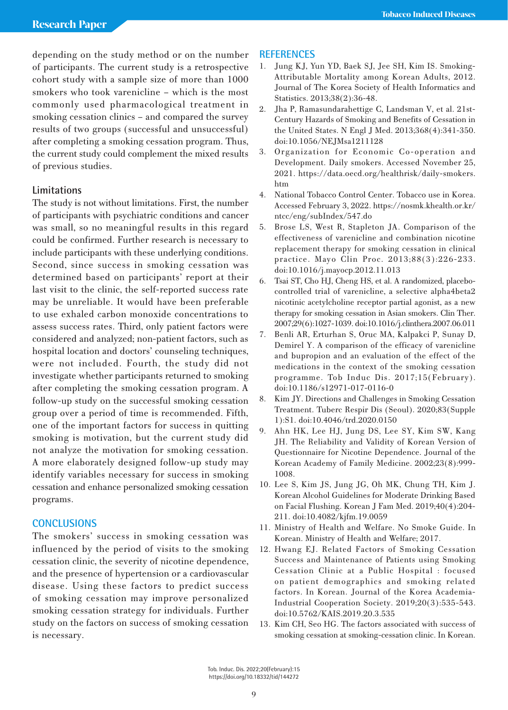depending on the study method or on the number of participants. The current study is a retrospective cohort study with a sample size of more than 1000 smokers who took varenicline – which is the most commonly used pharmacological treatment in smoking cessation clinics – and compared the survey results of two groups (successful and unsuccessful) after completing a smoking cessation program. Thus, the current study could complement the mixed results of previous studies.

# **Limitations**

The study is not without limitations. First, the number of participants with psychiatric conditions and cancer was small, so no meaningful results in this regard could be confirmed. Further research is necessary to include participants with these underlying conditions. Second, since success in smoking cessation was determined based on participants' report at their last visit to the clinic, the self-reported success rate may be unreliable. It would have been preferable to use exhaled carbon monoxide concentrations to assess success rates. Third, only patient factors were considered and analyzed; non-patient factors, such as hospital location and doctors' counseling techniques, were not included. Fourth, the study did not investigate whether participants returned to smoking after completing the smoking cessation program. A follow-up study on the successful smoking cessation group over a period of time is recommended. Fifth, one of the important factors for success in quitting smoking is motivation, but the current study did not analyze the motivation for smoking cessation. A more elaborately designed follow-up study may identify variables necessary for success in smoking cessation and enhance personalized smoking cessation programs.

# **CONCLUSIONS**

The smokers' success in smoking cessation was influenced by the period of visits to the smoking cessation clinic, the severity of nicotine dependence, and the presence of hypertension or a cardiovascular disease. Using these factors to predict success of smoking cessation may improve personalized smoking cessation strategy for individuals. Further study on the factors on success of smoking cessation is necessary.

## **REFERENCES**

- 1. Jung KJ, Yun YD, Baek SJ, Jee SH, Kim IS. Smoking-Attributable Mortality among Korean Adults, 2012. Journal of The Korea Society of Health Informatics and Statistics. 2013;38(2):36-48.
- 2. Jha P, Ramasundarahettige C, Landsman V, et al. 21st-Century Hazards of Smoking and Benefits of Cessation in the United States. N Engl J Med. 2013;368(4):341-350. doi:10.1056/NEJMsa1211128
- 3. Organization for Economic Co-operation and Development. Daily smokers. Accessed November 25, 2021. https://data.oecd.org/healthrisk/daily-smokers. htm
- 4. National Tobacco Control Center. Tobacco use in Korea. Accessed February 3, 2022. https://nosmk.khealth.or.kr/ ntcc/eng/subIndex/547.do
- 5. Brose LS, West R, Stapleton JA. Comparison of the effectiveness of varenicline and combination nicotine replacement therapy for smoking cessation in clinical practice. Mayo Clin Proc. 2013;88(3):226-233. doi:10.1016/j.mayocp.2012.11.013
- 6. Tsai ST, Cho HJ, Cheng HS, et al. A randomized, placebocontrolled trial of varenicline, a selective alpha4beta2 nicotinic acetylcholine receptor partial agonist, as a new therapy for smoking cessation in Asian smokers. Clin Ther. 2007;29(6):1027-1039. doi:10.1016/j.clinthera.2007.06.011
- 7. Benli AR, Erturhan S, Oruc MA, Kalpakci P, Sunay D, Demirel Y. A comparison of the efficacy of varenicline and bupropion and an evaluation of the effect of the medications in the context of the smoking cessation programme. Tob Induc Dis. 2017;15(February). doi:10.1186/s12971-017-0116-0
- 8. Kim JY. Directions and Challenges in Smoking Cessation Treatment. Tuberc Respir Dis (Seoul). 2020;83(Supple 1):S1. doi:10.4046/trd.2020.0150
- 9. Ahn HK, Lee HJ, Jung DS, Lee SY, Kim SW, Kang JH. The Reliability and Validity of Korean Version of Questionnaire for Nicotine Dependence. Journal of the Korean Academy of Family Medicine. 2002;23(8):999- 1008.
- 10. Lee S, Kim JS, Jung JG, Oh MK, Chung TH, Kim J. Korean Alcohol Guidelines for Moderate Drinking Based on Facial Flushing. Korean J Fam Med. 2019;40(4):204- 211. doi:10.4082/kjfm.19.0059
- 11. Ministry of Health and Welfare. No Smoke Guide. In Korean. Ministry of Health and Welfare; 2017.
- 12. Hwang EJ. Related Factors of Smoking Cessation Success and Maintenance of Patients using Smoking Cessation Clinic at a Public Hospital : focused on patient demographics and smoking related factors. In Korean. Journal of the Korea Academia-Industrial Cooperation Society. 2019;20(3):535-543. doi:10.5762/KAIS.2019.20.3.535
- 13. Kim CH, Seo HG. The factors associated with success of smoking cessation at smoking-cessation clinic. In Korean.